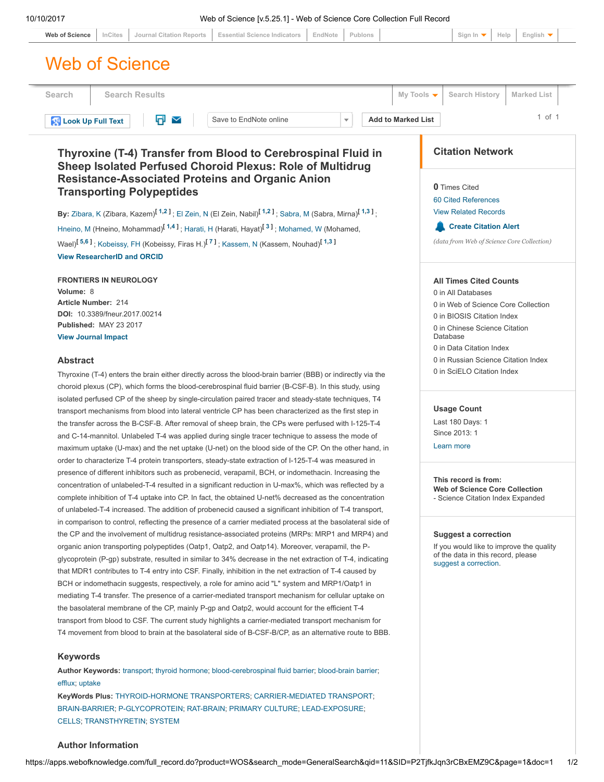| <b>Essential Science Indicators</b><br>Publons<br>InCites<br><b>Journal Citation Reports</b><br>EndNote<br><b>Web of Science</b>                                                                                       | English $\blacktriangledown$<br>Sign In $\blacktriangledown$<br>Help                                                                   |  |
|------------------------------------------------------------------------------------------------------------------------------------------------------------------------------------------------------------------------|----------------------------------------------------------------------------------------------------------------------------------------|--|
| <b>Web of Science</b>                                                                                                                                                                                                  |                                                                                                                                        |  |
| <b>Search Results</b><br>Search                                                                                                                                                                                        | Search History<br><b>Marked List</b><br>My Tools $\blacktriangledown$                                                                  |  |
| o<br>$\checkmark$<br>Save to EndNote online<br><b>Add to Marked List</b><br><b>Look Up Full Text</b><br>$\overline{\mathbf{v}}$                                                                                        | $1$ of $1$                                                                                                                             |  |
| Thyroxine (T-4) Transfer from Blood to Cerebrospinal Fluid in<br>Sheep Isolated Perfused Choroid Plexus: Role of Multidrug<br><b>Resistance-Associated Proteins and Organic Anion</b>                                  | <b>Citation Network</b>                                                                                                                |  |
| <b>Transporting Polypeptides</b>                                                                                                                                                                                       | <b>0</b> Times Cited                                                                                                                   |  |
|                                                                                                                                                                                                                        | 60 Cited References                                                                                                                    |  |
| By: Zibara, K (Zibara, Kazem) <sup>[1,2]</sup> ; El Zein, N (El Zein, Nabil) <sup>[1,2]</sup> ; Sabra, M (Sabra, Mirna) <sup>[1,3]</sup> ;                                                                             | <b>View Related Records</b>                                                                                                            |  |
| Hneino, M (Hneino, Mohammad) <sup>[1,4]</sup> ; Harati, H (Harati, Hayat) <sup>[3]</sup> ; Mohamed, W (Mohamed,                                                                                                        | <b>Create Citation Alert</b>                                                                                                           |  |
| Wael) <sup>[5,6]</sup> ; Kobeissy, FH (Kobeissy, Firas H.) <sup>[7]</sup> ; Kassem, N (Kassem, Nouhad) <sup>[1,3]</sup>                                                                                                | (data from Web of Science Core Collection)                                                                                             |  |
| <b>View ResearcherID and ORCID</b>                                                                                                                                                                                     |                                                                                                                                        |  |
| <b>FRONTIERS IN NEUROLOGY</b>                                                                                                                                                                                          | <b>All Times Cited Counts</b>                                                                                                          |  |
| Volume: 8                                                                                                                                                                                                              | 0 in All Databases                                                                                                                     |  |
| Article Number: 214                                                                                                                                                                                                    | 0 in Web of Science Core Collection                                                                                                    |  |
| DOI: 10.3389/fneur.2017.00214<br>Published: MAY 23 2017                                                                                                                                                                | 0 in BIOSIS Citation Index                                                                                                             |  |
| <b>View Journal Impact</b>                                                                                                                                                                                             | 0 in Chinese Science Citation<br>Database                                                                                              |  |
|                                                                                                                                                                                                                        | 0 in Data Citation Index                                                                                                               |  |
| <b>Abstract</b>                                                                                                                                                                                                        | 0 in Russian Science Citation Index                                                                                                    |  |
| Thyroxine (T-4) enters the brain either directly across the blood-brain barrier (BBB) or indirectly via the                                                                                                            | 0 in SciELO Citation Index                                                                                                             |  |
| choroid plexus (CP), which forms the blood-cerebrospinal fluid barrier (B-CSF-B). In this study, using                                                                                                                 |                                                                                                                                        |  |
| isolated perfused CP of the sheep by single-circulation paired tracer and steady-state techniques, T4                                                                                                                  |                                                                                                                                        |  |
| transport mechanisms from blood into lateral ventricle CP has been characterized as the first step in                                                                                                                  | <b>Usage Count</b>                                                                                                                     |  |
| the transfer across the B-CSF-B. After removal of sheep brain, the CPs were perfused with I-125-T-4                                                                                                                    | Last 180 Days: 1<br>Since 2013: 1                                                                                                      |  |
| and C-14-mannitol. Unlabeled T-4 was applied during single tracer technique to assess the mode of                                                                                                                      | Learn more                                                                                                                             |  |
| maximum uptake (U-max) and the net uptake (U-net) on the blood side of the CP. On the other hand, in<br>order to characterize T-4 protein transporters, steady-state extraction of I-125-T-4 was measured in           |                                                                                                                                        |  |
| presence of different inhibitors such as probenecid, verapamil, BCH, or indomethacin. Increasing the                                                                                                                   |                                                                                                                                        |  |
| concentration of unlabeled-T-4 resulted in a significant reduction in U-max%, which was reflected by a                                                                                                                 | This record is from:<br><b>Web of Science Core Collection</b><br>- Science Citation Index Expanded                                     |  |
| complete inhibition of T-4 uptake into CP. In fact, the obtained U-net% decreased as the concentration                                                                                                                 |                                                                                                                                        |  |
| of unlabeled-T-4 increased. The addition of probenecid caused a significant inhibition of T-4 transport,                                                                                                               |                                                                                                                                        |  |
| in comparison to control, reflecting the presence of a carrier mediated process at the basolateral side of                                                                                                             |                                                                                                                                        |  |
| the CP and the involvement of multidrug resistance-associated proteins (MRPs: MRP1 and MRP4) and                                                                                                                       | <b>Suggest a correction</b><br>If you would like to improve the quality<br>of the data in this record, please<br>suggest a correction. |  |
| organic anion transporting polypeptides (Oatp1, Oatp2, and Oatp14). Moreover, verapamil, the P-                                                                                                                        |                                                                                                                                        |  |
| glycoprotein (P-gp) substrate, resulted in similar to 34% decrease in the net extraction of T-4, indicating<br>that MDR1 contributes to T-4 entry into CSF. Finally, inhibition in the net extraction of T-4 caused by |                                                                                                                                        |  |
| BCH or indomethacin suggests, respectively, a role for amino acid "L" system and MRP1/Oatp1 in                                                                                                                         |                                                                                                                                        |  |
| mediating T-4 transfer. The presence of a carrier-mediated transport mechanism for cellular uptake on                                                                                                                  |                                                                                                                                        |  |
| the basolateral membrane of the CP, mainly P-gp and Oatp2, would account for the efficient T-4                                                                                                                         |                                                                                                                                        |  |
| transport from blood to CSF. The current study highlights a carrier-mediated transport mechanism for                                                                                                                   |                                                                                                                                        |  |
| T4 movement from blood to brain at the basolateral side of B-CSF-B/CP, as an alternative route to BBB.                                                                                                                 |                                                                                                                                        |  |
| <b>Keywords</b>                                                                                                                                                                                                        |                                                                                                                                        |  |
| Author Keywords: transport; thyroid hormone; blood-cerebrospinal fluid barrier; blood-brain barrier;                                                                                                                   |                                                                                                                                        |  |

# [CELLS;](https://apps.webofknowledge.com/OneClickSearch.do?product=WOS&search_mode=OneClickSearch&excludeEventConfig=ExcludeIfFromFullRecPage&colName=WOS&SID=P2TjfkJqn3rCBxEMZ9C&field=TS&value=CELLS&uncondQuotes=true) [TRANSTHYRETIN](https://apps.webofknowledge.com/OneClickSearch.do?product=WOS&search_mode=OneClickSearch&excludeEventConfig=ExcludeIfFromFullRecPage&colName=WOS&SID=P2TjfkJqn3rCBxEMZ9C&field=TS&value=TRANSTHYRETIN&uncondQuotes=true); [SYSTEM](https://apps.webofknowledge.com/OneClickSearch.do?product=WOS&search_mode=OneClickSearch&excludeEventConfig=ExcludeIfFromFullRecPage&colName=WOS&SID=P2TjfkJqn3rCBxEMZ9C&field=TS&value=SYSTEM&uncondQuotes=true)

## Author Information